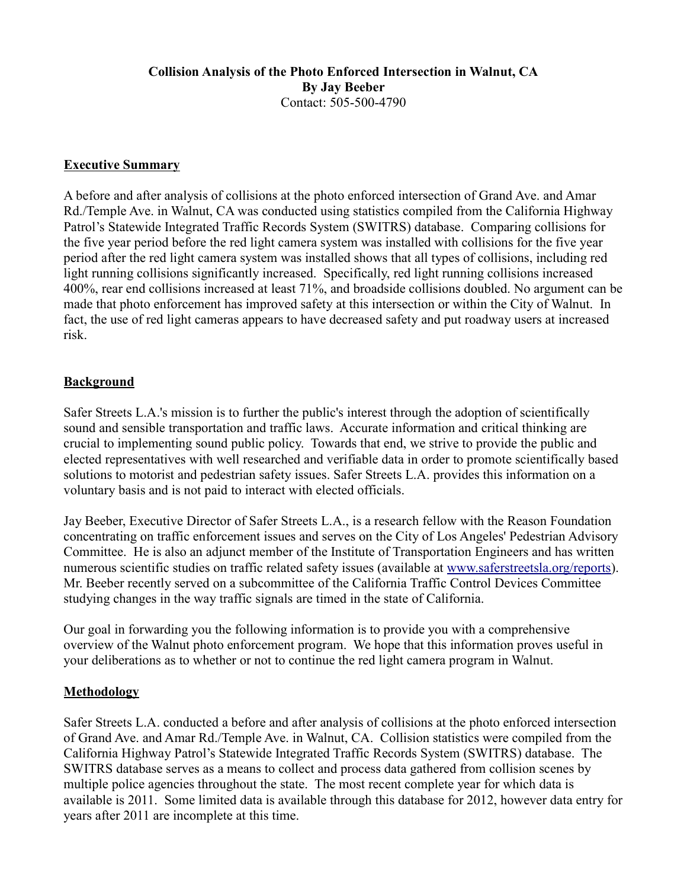#### **Collision Analysis of the Photo Enforced Intersection in Walnut, CA By Jay Beeber** Contact: 505-500-4790

#### **Executive Summary**

A before and after analysis of collisions at the photo enforced intersection of Grand Ave. and Amar Rd./Temple Ave. in Walnut, CA was conducted using statistics compiled from the California Highway Patrol's Statewide Integrated Traffic Records System (SWITRS) database. Comparing collisions for the five year period before the red light camera system was installed with collisions for the five year period after the red light camera system was installed shows that all types of collisions, including red light running collisions significantly increased. Specifically, red light running collisions increased 400%, rear end collisions increased at least 71%, and broadside collisions doubled. No argument can be made that photo enforcement has improved safety at this intersection or within the City of Walnut. In fact, the use of red light cameras appears to have decreased safety and put roadway users at increased risk.

#### **Background**

Safer Streets L.A.'s mission is to further the public's interest through the adoption of scientifically sound and sensible transportation and traffic laws. Accurate information and critical thinking are crucial to implementing sound public policy. Towards that end, we strive to provide the public and elected representatives with well researched and verifiable data in order to promote scientifically based solutions to motorist and pedestrian safety issues. Safer Streets L.A. provides this information on a voluntary basis and is not paid to interact with elected officials.

Jay Beeber, Executive Director of Safer Streets L.A., is a research fellow with the Reason Foundation concentrating on traffic enforcement issues and serves on the City of Los Angeles' Pedestrian Advisory Committee. He is also an adjunct member of the Institute of Transportation Engineers and has written numerous scientific studies on traffic related safety issues (available at www.saferstreetsla.org/reports). Mr. Beeber recently served on a subcommittee of the California Traffic Control Devices Committee studying changes in the way traffic signals are timed in the state of California.

Our goal in forwarding you the following information is to provide you with a comprehensive overview of the Walnut photo enforcement program. We hope that this information proves useful in your deliberations as to whether or not to continue the red light camera program in Walnut.

## **Methodology**

Safer Streets L.A. conducted a before and after analysis of collisions at the photo enforced intersection of Grand Ave. and Amar Rd./Temple Ave. in Walnut, CA. Collision statistics were compiled from the California Highway Patrol's Statewide Integrated Traffic Records System (SWITRS) database. The SWITRS database serves as a means to collect and process data gathered from collision scenes by multiple police agencies throughout the state. The most recent complete year for which data is available is 2011. Some limited data is available through this database for 2012, however data entry for years after 2011 are incomplete at this time.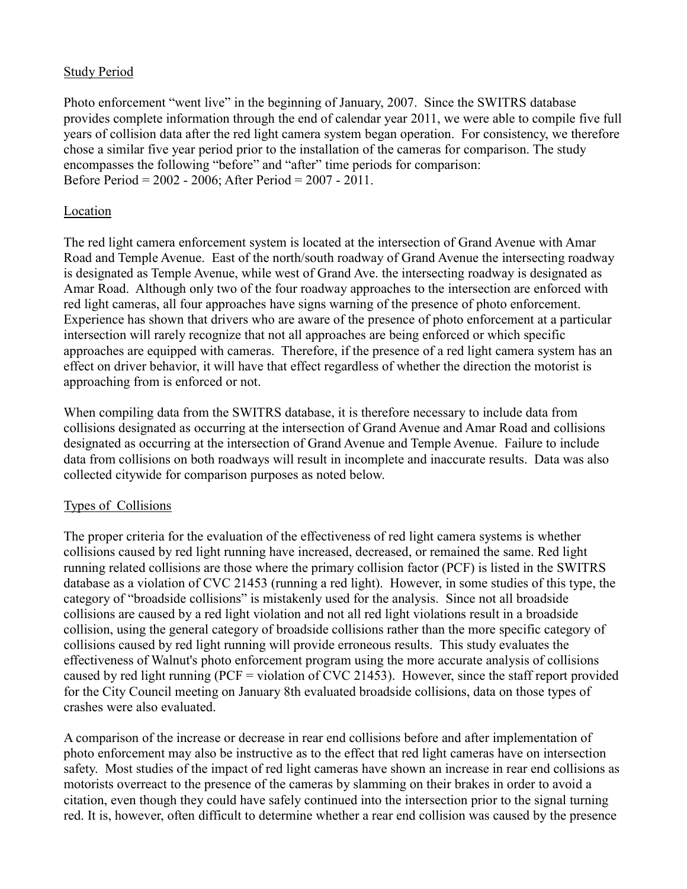#### Study Period

Photo enforcement "went live" in the beginning of January, 2007. Since the SWITRS database provides complete information through the end of calendar year 2011, we were able to compile five full years of collision data after the red light camera system began operation. For consistency, we therefore chose a similar five year period prior to the installation of the cameras for comparison. The study encompasses the following "before" and "after" time periods for comparison: Before Period = 2002 - 2006; After Period = 2007 - 2011.

#### Location

The red light camera enforcement system is located at the intersection of Grand Avenue with Amar Road and Temple Avenue. East of the north/south roadway of Grand Avenue the intersecting roadway is designated as Temple Avenue, while west of Grand Ave. the intersecting roadway is designated as Amar Road. Although only two of the four roadway approaches to the intersection are enforced with red light cameras, all four approaches have signs warning of the presence of photo enforcement. Experience has shown that drivers who are aware of the presence of photo enforcement at a particular intersection will rarely recognize that not all approaches are being enforced or which specific approaches are equipped with cameras. Therefore, if the presence of a red light camera system has an effect on driver behavior, it will have that effect regardless of whether the direction the motorist is approaching from is enforced or not.

When compiling data from the SWITRS database, it is therefore necessary to include data from collisions designated as occurring at the intersection of Grand Avenue and Amar Road and collisions designated as occurring at the intersection of Grand Avenue and Temple Avenue. Failure to include data from collisions on both roadways will result in incomplete and inaccurate results. Data was also collected citywide for comparison purposes as noted below.

## Types of Collisions

The proper criteria for the evaluation of the effectiveness of red light camera systems is whether collisions caused by red light running have increased, decreased, or remained the same. Red light running related collisions are those where the primary collision factor (PCF) is listed in the SWITRS database as a violation of CVC 21453 (running a red light). However, in some studies of this type, the category of "broadside collisions" is mistakenly used for the analysis. Since not all broadside collisions are caused by a red light violation and not all red light violations result in a broadside collision, using the general category of broadside collisions rather than the more specific category of collisions caused by red light running will provide erroneous results. This study evaluates the effectiveness of Walnut's photo enforcement program using the more accurate analysis of collisions caused by red light running (PCF = violation of CVC 21453). However, since the staff report provided for the City Council meeting on January 8th evaluated broadside collisions, data on those types of crashes were also evaluated.

A comparison of the increase or decrease in rear end collisions before and after implementation of photo enforcement may also be instructive as to the effect that red light cameras have on intersection safety. Most studies of the impact of red light cameras have shown an increase in rear end collisions as motorists overreact to the presence of the cameras by slamming on their brakes in order to avoid a citation, even though they could have safely continued into the intersection prior to the signal turning red. It is, however, often difficult to determine whether a rear end collision was caused by the presence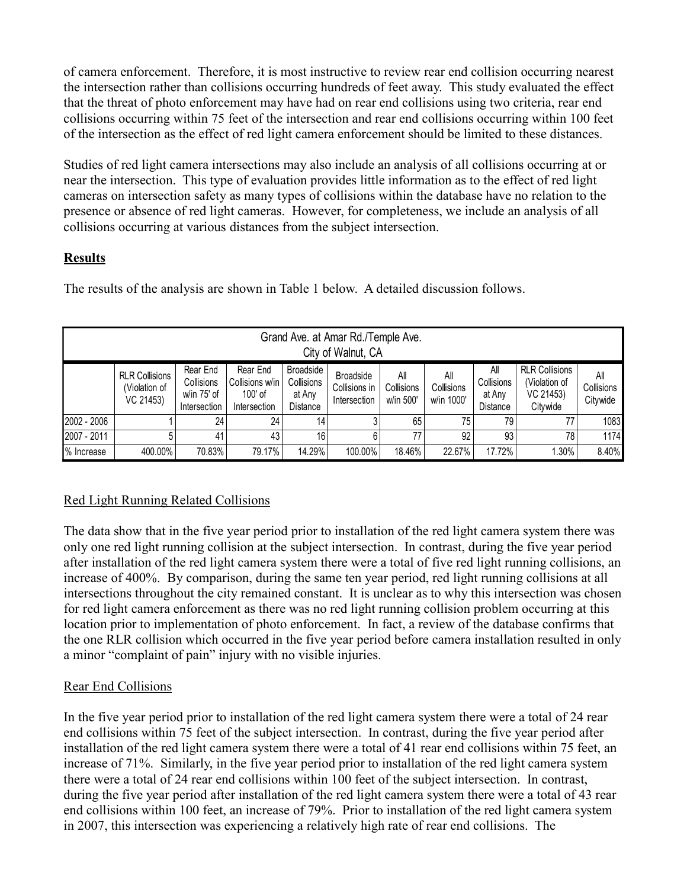of camera enforcement. Therefore, it is most instructive to review rear end collision occurring nearest the intersection rather than collisions occurring hundreds of feet away. This study evaluated the effect that the threat of photo enforcement may have had on rear end collisions using two criteria, rear end collisions occurring within 75 feet of the intersection and rear end collisions occurring within 100 feet of the intersection as the effect of red light camera enforcement should be limited to these distances.

Studies of red light camera intersections may also include an analysis of all collisions occurring at or near the intersection. This type of evaluation provides little information as to the effect of red light cameras on intersection safety as many types of collisions within the database have no relation to the presence or absence of red light cameras. However, for completeness, we include an analysis of all collisions occurring at various distances from the subject intersection.

# **Results**

The results of the analysis are shown in Table 1 below. A detailed discussion follows.

| Grand Ave. at Amar Rd./Temple Ave.<br>City of Walnut, CA |                                                     |                                                       |                                                        |                                                      |                                                   |                                |                                 |                                                |                                                                 |                               |
|----------------------------------------------------------|-----------------------------------------------------|-------------------------------------------------------|--------------------------------------------------------|------------------------------------------------------|---------------------------------------------------|--------------------------------|---------------------------------|------------------------------------------------|-----------------------------------------------------------------|-------------------------------|
|                                                          | <b>RLR Collisions</b><br>(Violation of<br>VC 21453) | Rear End<br>Collisions<br>w/in 75' of<br>Intersection | Rear End<br>Collisions w/in<br>100' of<br>Intersection | <b>Broadside</b><br>Collisions<br>at Any<br>Distance | <b>Broadside</b><br>Collisions in<br>Intersection | All<br>Collisions<br>w/in 500' | All<br>Collisions<br>w/in 1000' | All<br>Collisions<br>at Any<br><b>Distance</b> | <b>RLR Collisions</b><br>(Violation of<br>VC 21453)<br>Citvwide | All<br>Collisions<br>Citywide |
| 2002 - 2006                                              |                                                     | 24                                                    | 24                                                     | 14                                                   |                                                   | 65                             | 75                              | 79                                             | 77                                                              | 1083                          |
| 2007 - 2011                                              | 5                                                   | 41                                                    | 43                                                     | 16                                                   |                                                   | 77                             | 92                              | 93                                             | 78                                                              | 1174                          |
| % Increase                                               | 400.00%                                             | 70.83%                                                | 79.17%                                                 | 14.29%                                               | 100.00%                                           | 18.46%                         | 22.67%                          | 17.72%                                         | 1.30%                                                           | 8.40%                         |

# Red Light Running Related Collisions

The data show that in the five year period prior to installation of the red light camera system there was only one red light running collision at the subject intersection. In contrast, during the five year period after installation of the red light camera system there were a total of five red light running collisions, an increase of 400%. By comparison, during the same ten year period, red light running collisions at all intersections throughout the city remained constant. It is unclear as to why this intersection was chosen for red light camera enforcement as there was no red light running collision problem occurring at this location prior to implementation of photo enforcement. In fact, a review of the database confirms that the one RLR collision which occurred in the five year period before camera installation resulted in only a minor "complaint of pain" injury with no visible injuries.

# Rear End Collisions

In the five year period prior to installation of the red light camera system there were a total of 24 rear end collisions within 75 feet of the subject intersection. In contrast, during the five year period after installation of the red light camera system there were a total of 41 rear end collisions within 75 feet, an increase of 71%. Similarly, in the five year period prior to installation of the red light camera system there were a total of 24 rear end collisions within 100 feet of the subject intersection. In contrast, during the five year period after installation of the red light camera system there were a total of 43 rear end collisions within 100 feet, an increase of 79%. Prior to installation of the red light camera system in 2007, this intersection was experiencing a relatively high rate of rear end collisions. The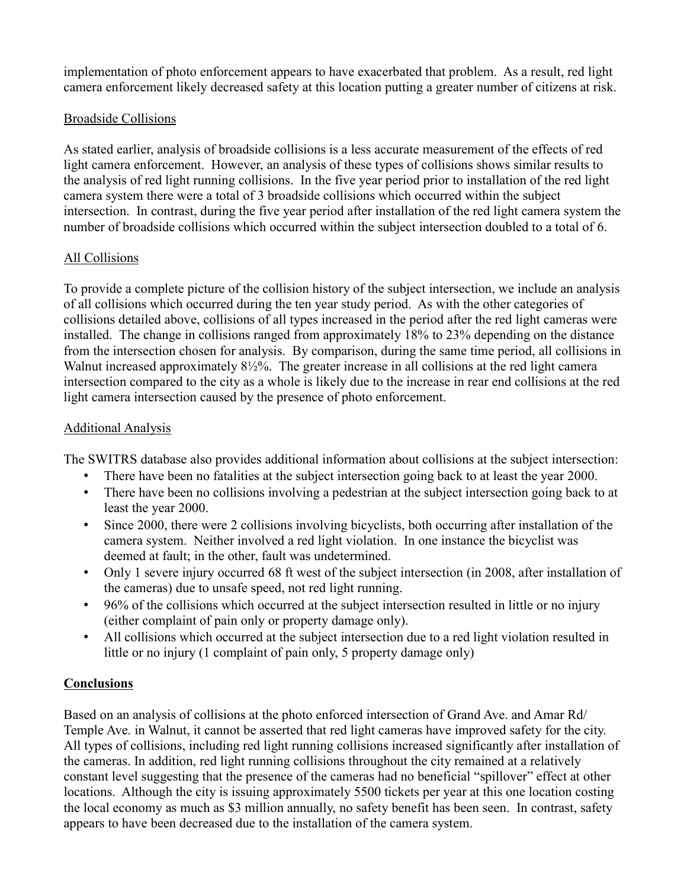implementation of photo enforcement appears to have exacerbated that problem. As a result, red light camera enforcement likely decreased safety at this location putting a greater number of citizens at risk.

## Broadside Collisions

As stated earlier, analysis of broadside collisions is a less accurate measurement of the effects of red light camera enforcement. However, an analysis of these types of collisions shows similar results to the analysis of red light running collisions. In the five year period prior to installation of the red light camera system there were a total of 3 broadside collisions which occurred within the subject intersection. In contrast, during the five year period after installation of the red light camera system the number of broadside collisions which occurred within the subject intersection doubled to a total of 6.

# All Collisions

To provide a complete picture of the collision history of the subject intersection, we include an analysis of all collisions which occurred during the ten year study period. As with the other categories of collisions detailed above, collisions of all types increased in the period after the red light cameras were installed. The change in collisions ranged from approximately 18% to 23% depending on the distance from the intersection chosen for analysis. By comparison, during the same time period, all collisions in Walnut increased approximately 8½%. The greater increase in all collisions at the red light camera intersection compared to the city as a whole is likely due to the increase in rear end collisions at the red light camera intersection caused by the presence of photo enforcement.

# Additional Analysis

The SWITRS database also provides additional information about collisions at the subject intersection:

- There have been no fatalities at the subject intersection going back to at least the year 2000.
- There have been no collisions involving a pedestrian at the subject intersection going back to at least the year 2000.
- Since 2000, there were 2 collisions involving bicyclists, both occurring after installation of the camera system. Neither involved a red light violation. In one instance the bicyclist was deemed at fault; in the other, fault was undetermined.
- Only 1 severe injury occurred 68 ft west of the subject intersection (in 2008, after installation of the cameras) due to unsafe speed, not red light running.
- 96% of the collisions which occurred at the subject intersection resulted in little or no injury (either complaint of pain only or property damage only).
- All collisions which occurred at the subject intersection due to a red light violation resulted in little or no injury (1 complaint of pain only, 5 property damage only)

# **Conclusions**

Based on an analysis of collisions at the photo enforced intersection of Grand Ave. and Amar Rd/ Temple Ave. in Walnut, it cannot be asserted that red light cameras have improved safety for the city. All types of collisions, including red light running collisions increased significantly after installation of the cameras. In addition, red light running collisions throughout the city remained at a relatively constant level suggesting that the presence of the cameras had no beneficial "spillover" effect at other locations. Although the city is issuing approximately 5500 tickets per year at this one location costing the local economy as much as \$3 million annually, no safety benefit has been seen. In contrast, safety appears to have been decreased due to the installation of the camera system.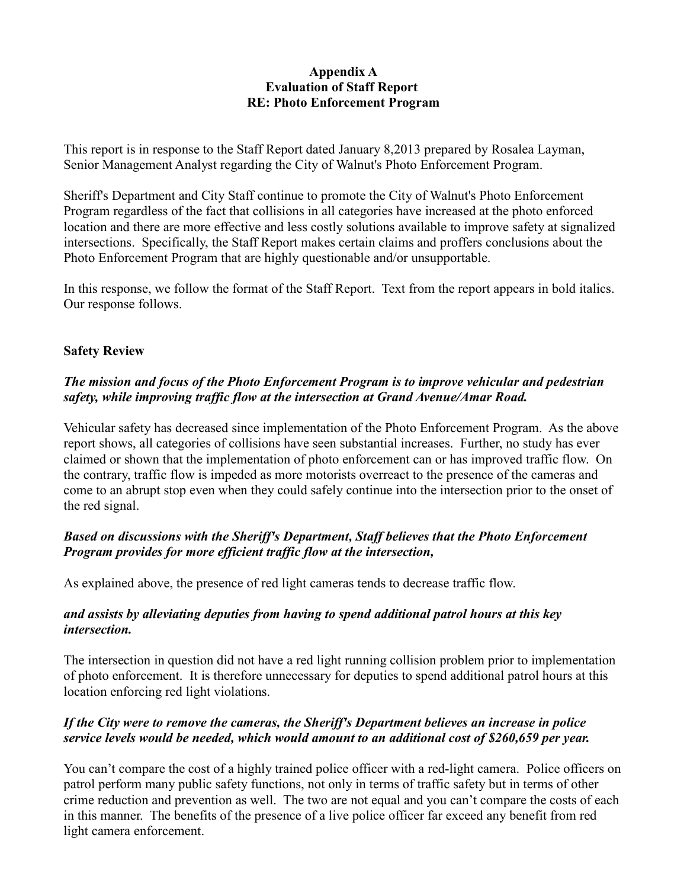#### **Appendix A Evaluation of Staff Report RE: Photo Enforcement Program**

This report is in response to the Staff Report dated January 8,2013 prepared by Rosalea Layman, Senior Management Analyst regarding the City of Walnut's Photo Enforcement Program.

Sheriff's Department and City Staff continue to promote the City of Walnut's Photo Enforcement Program regardless of the fact that collisions in all categories have increased at the photo enforced location and there are more effective and less costly solutions available to improve safety at signalized intersections. Specifically, the Staff Report makes certain claims and proffers conclusions about the Photo Enforcement Program that are highly questionable and/or unsupportable.

In this response, we follow the format of the Staff Report. Text from the report appears in bold italics. Our response follows.

## **Safety Review**

## *The mission and focus of the Photo Enforcement Program is to improve vehicular and pedestrian safety, while improving traffic flow at the intersection at Grand Avenue/Amar Road.*

Vehicular safety has decreased since implementation of the Photo Enforcement Program. As the above report shows, all categories of collisions have seen substantial increases. Further, no study has ever claimed or shown that the implementation of photo enforcement can or has improved traffic flow. On the contrary, traffic flow is impeded as more motorists overreact to the presence of the cameras and come to an abrupt stop even when they could safely continue into the intersection prior to the onset of the red signal.

## *Based on discussions with the Sheriff's Department, Staff believes that the Photo Enforcement Program provides for more efficient traffic flow at the intersection,*

As explained above, the presence of red light cameras tends to decrease traffic flow.

## *and assists by alleviating deputies from having to spend additional patrol hours at this key intersection.*

The intersection in question did not have a red light running collision problem prior to implementation of photo enforcement. It is therefore unnecessary for deputies to spend additional patrol hours at this location enforcing red light violations.

# *If the City were to remove the cameras, the Sheriff's Department believes an increase in police service levels would be needed, which would amount to an additional cost of \$260,659 per year.*

You can't compare the cost of a highly trained police officer with a red-light camera. Police officers on patrol perform many public safety functions, not only in terms of traffic safety but in terms of other crime reduction and prevention as well. The two are not equal and you can't compare the costs of each in this manner. The benefits of the presence of a live police officer far exceed any benefit from red light camera enforcement.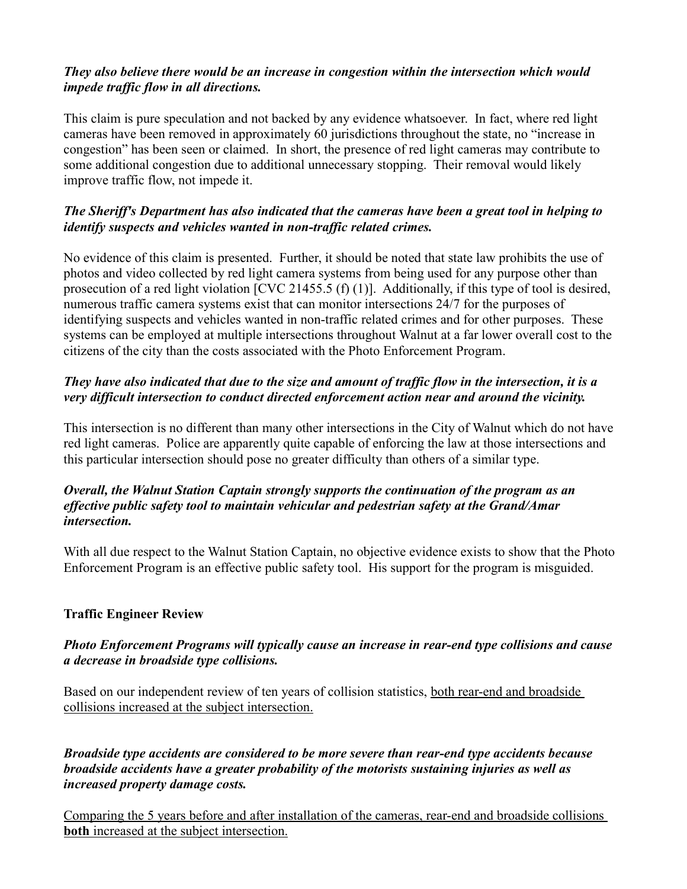## *They also believe there would be an increase in congestion within the intersection which would impede traffic flow in all directions.*

This claim is pure speculation and not backed by any evidence whatsoever. In fact, where red light cameras have been removed in approximately 60 jurisdictions throughout the state, no "increase in congestion" has been seen or claimed. In short, the presence of red light cameras may contribute to some additional congestion due to additional unnecessary stopping. Their removal would likely improve traffic flow, not impede it.

# *The Sheriff's Department has also indicated that the cameras have been a great tool in helping to identify suspects and vehicles wanted in non-traffic related crimes.*

No evidence of this claim is presented. Further, it should be noted that state law prohibits the use of photos and video collected by red light camera systems from being used for any purpose other than prosecution of a red light violation [CVC 21455.5 (f) (1)]. Additionally, if this type of tool is desired, numerous traffic camera systems exist that can monitor intersections 24/7 for the purposes of identifying suspects and vehicles wanted in non-traffic related crimes and for other purposes. These systems can be employed at multiple intersections throughout Walnut at a far lower overall cost to the citizens of the city than the costs associated with the Photo Enforcement Program.

# *They have also indicated that due to the size and amount of traffic flow in the intersection, it is a very difficult intersection to conduct directed enforcement action near and around the vicinity.*

This intersection is no different than many other intersections in the City of Walnut which do not have red light cameras. Police are apparently quite capable of enforcing the law at those intersections and this particular intersection should pose no greater difficulty than others of a similar type.

## *Overall, the Walnut Station Captain strongly supports the continuation of the program as an effective public safety tool to maintain vehicular and pedestrian safety at the Grand/Amar intersection.*

With all due respect to the Walnut Station Captain, no objective evidence exists to show that the Photo Enforcement Program is an effective public safety tool. His support for the program is misguided.

# **Traffic Engineer Review**

# *Photo Enforcement Programs will typically cause an increase in rear-end type collisions and cause a decrease in broadside type collisions.*

Based on our independent review of ten years of collision statistics, both rear-end and broadside collisions increased at the subject intersection.

*Broadside type accidents are considered to be more severe than rear-end type accidents because broadside accidents have a greater probability of the motorists sustaining injuries as well as increased property damage costs.*

Comparing the 5 years before and after installation of the cameras, rear-end and broadside collisions **both** increased at the subject intersection.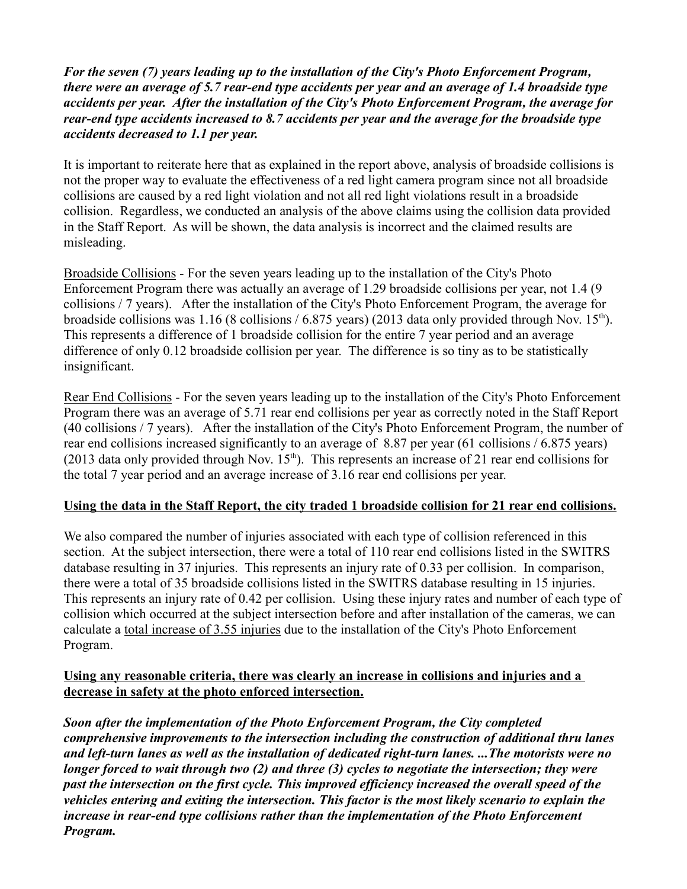*For the seven (7) years leading up to the installation of the City's Photo Enforcement Program, there were an average of 5.7 rear-end type accidents per year and an average of 1.4 broadside type accidents per year. After the installation of the City's Photo Enforcement Program, the average for rear-end type accidents increased to 8.7 accidents per year and the average for the broadside type accidents decreased to 1.1 per year.*

It is important to reiterate here that as explained in the report above, analysis of broadside collisions is not the proper way to evaluate the effectiveness of a red light camera program since not all broadside collisions are caused by a red light violation and not all red light violations result in a broadside collision. Regardless, we conducted an analysis of the above claims using the collision data provided in the Staff Report. As will be shown, the data analysis is incorrect and the claimed results are misleading.

Broadside Collisions - For the seven years leading up to the installation of the City's Photo Enforcement Program there was actually an average of 1.29 broadside collisions per year, not 1.4 (9 collisions / 7 years). After the installation of the City's Photo Enforcement Program, the average for broadside collisions was 1.16 (8 collisions / 6.875 years) (2013 data only provided through Nov.  $15<sup>th</sup>$ ). This represents a difference of 1 broadside collision for the entire 7 year period and an average difference of only 0.12 broadside collision per year. The difference is so tiny as to be statistically insignificant.

Rear End Collisions - For the seven years leading up to the installation of the City's Photo Enforcement Program there was an average of 5.71 rear end collisions per year as correctly noted in the Staff Report (40 collisions / 7 years). After the installation of the City's Photo Enforcement Program, the number of rear end collisions increased significantly to an average of 8.87 per year (61 collisions / 6.875 years) (2013 data only provided through Nov.  $15<sup>th</sup>$ ). This represents an increase of 21 rear end collisions for the total 7 year period and an average increase of 3.16 rear end collisions per year.

## **Using the data in the Staff Report, the city traded 1 broadside collision for 21 rear end collisions.**

We also compared the number of injuries associated with each type of collision referenced in this section. At the subject intersection, there were a total of 110 rear end collisions listed in the SWITRS database resulting in 37 injuries. This represents an injury rate of 0.33 per collision. In comparison, there were a total of 35 broadside collisions listed in the SWITRS database resulting in 15 injuries. This represents an injury rate of 0.42 per collision. Using these injury rates and number of each type of collision which occurred at the subject intersection before and after installation of the cameras, we can calculate a total increase of 3.55 injuries due to the installation of the City's Photo Enforcement Program.

## **Using any reasonable criteria, there was clearly an increase in collisions and injuries and a decrease in safety at the photo enforced intersection.**

*Soon after the implementation of the Photo Enforcement Program, the City completed comprehensive improvements to the intersection including the construction of additional thru lanes and left-turn lanes as well as the installation of dedicated right-turn lanes. ...The motorists were no longer forced to wait through two (2) and three (3) cycles to negotiate the intersection; they were past the intersection on the first cycle. This improved efficiency increased the overall speed of the vehicles entering and exiting the intersection. This factor is the most likely scenario to explain the increase in rear-end type collisions rather than the implementation of the Photo Enforcement Program.*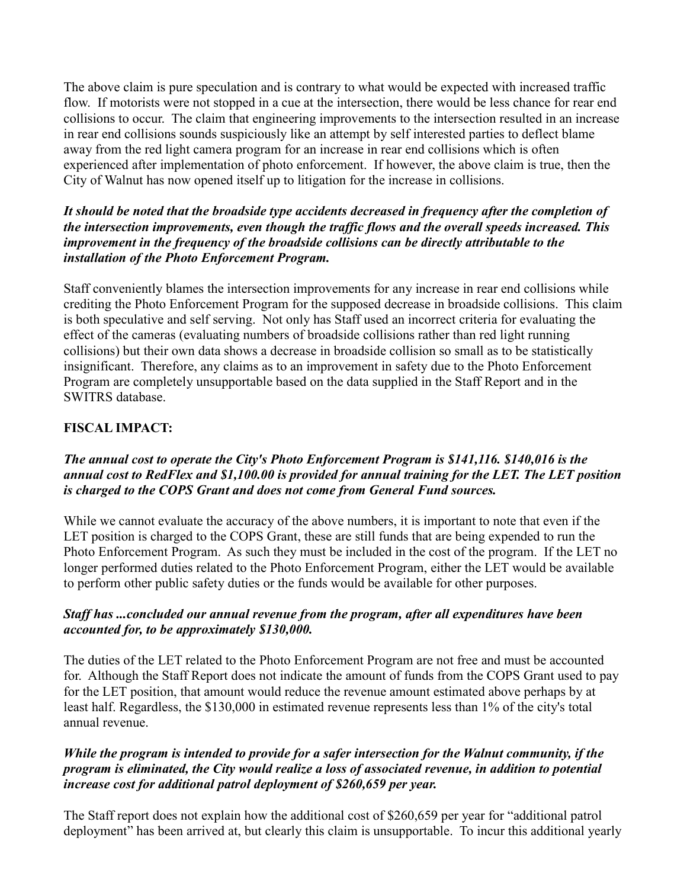The above claim is pure speculation and is contrary to what would be expected with increased traffic flow. If motorists were not stopped in a cue at the intersection, there would be less chance for rear end collisions to occur. The claim that engineering improvements to the intersection resulted in an increase in rear end collisions sounds suspiciously like an attempt by self interested parties to deflect blame away from the red light camera program for an increase in rear end collisions which is often experienced after implementation of photo enforcement. If however, the above claim is true, then the City of Walnut has now opened itself up to litigation for the increase in collisions.

#### *It should be noted that the broadside type accidents decreased in frequency after the completion of the intersection improvements, even though the traffic flows and the overall speeds increased. This improvement in the frequency of the broadside collisions can be directly attributable to the installation of the Photo Enforcement Program.*

Staff conveniently blames the intersection improvements for any increase in rear end collisions while crediting the Photo Enforcement Program for the supposed decrease in broadside collisions. This claim is both speculative and self serving. Not only has Staff used an incorrect criteria for evaluating the effect of the cameras (evaluating numbers of broadside collisions rather than red light running collisions) but their own data shows a decrease in broadside collision so small as to be statistically insignificant. Therefore, any claims as to an improvement in safety due to the Photo Enforcement Program are completely unsupportable based on the data supplied in the Staff Report and in the SWITRS database.

# **FISCAL IMPACT:**

## *The annual cost to operate the City's Photo Enforcement Program is \$141,116. \$140,016 is the annual cost to RedFlex and \$1,100.00 is provided for annual training for the LET. The LET position is charged to the COPS Grant and does not come from General Fund sources.*

While we cannot evaluate the accuracy of the above numbers, it is important to note that even if the LET position is charged to the COPS Grant, these are still funds that are being expended to run the Photo Enforcement Program. As such they must be included in the cost of the program. If the LET no longer performed duties related to the Photo Enforcement Program, either the LET would be available to perform other public safety duties or the funds would be available for other purposes.

## *Staff has ...concluded our annual revenue from the program, after all expenditures have been accounted for, to be approximately \$130,000.*

The duties of the LET related to the Photo Enforcement Program are not free and must be accounted for. Although the Staff Report does not indicate the amount of funds from the COPS Grant used to pay for the LET position, that amount would reduce the revenue amount estimated above perhaps by at least half. Regardless, the \$130,000 in estimated revenue represents less than 1% of the city's total annual revenue.

## *While the program is intended to provide for a safer intersection for the Walnut community, if the program is eliminated, the City would realize a loss of associated revenue, in addition to potential increase cost for additional patrol deployment of \$260,659 per year.*

The Staff report does not explain how the additional cost of \$260,659 per year for "additional patrol deployment" has been arrived at, but clearly this claim is unsupportable. To incur this additional yearly